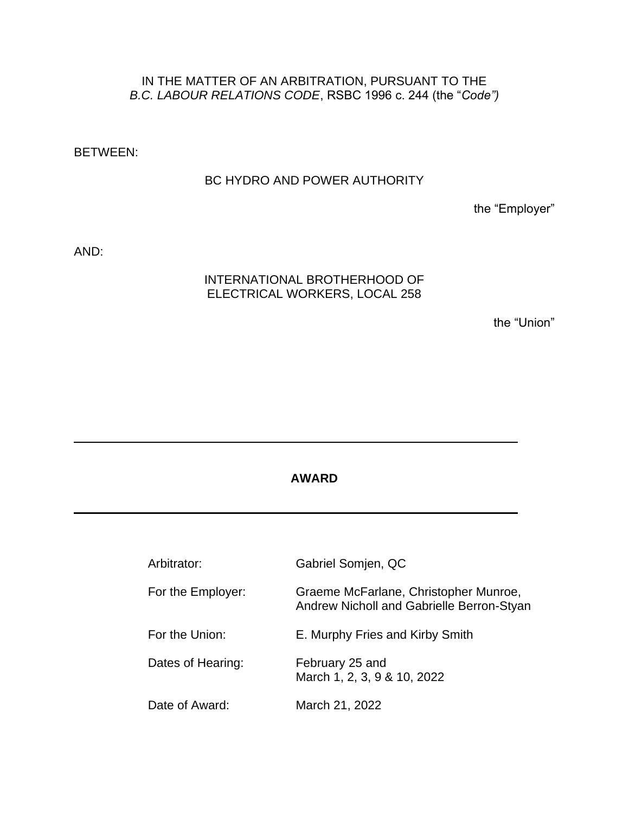# IN THE MATTER OF AN ARBITRATION, PURSUANT TO THE *B.C. LABOUR RELATIONS CODE*, RSBC 1996 c. 244 (the "*Code")*

BETWEEN:

#### BC HYDRO AND POWER AUTHORITY

the "Employer"

AND:

# INTERNATIONAL BROTHERHOOD OF ELECTRICAL WORKERS, LOCAL 258

the "Union"

## **AWARD**

| Arbitrator:       | Gabriel Somjen, QC                                                                 |
|-------------------|------------------------------------------------------------------------------------|
| For the Employer: | Graeme McFarlane, Christopher Munroe,<br>Andrew Nicholl and Gabrielle Berron-Styan |
| For the Union:    | E. Murphy Fries and Kirby Smith                                                    |
| Dates of Hearing: | February 25 and<br>March 1, 2, 3, 9 & 10, 2022                                     |
| Date of Award:    | March 21, 2022                                                                     |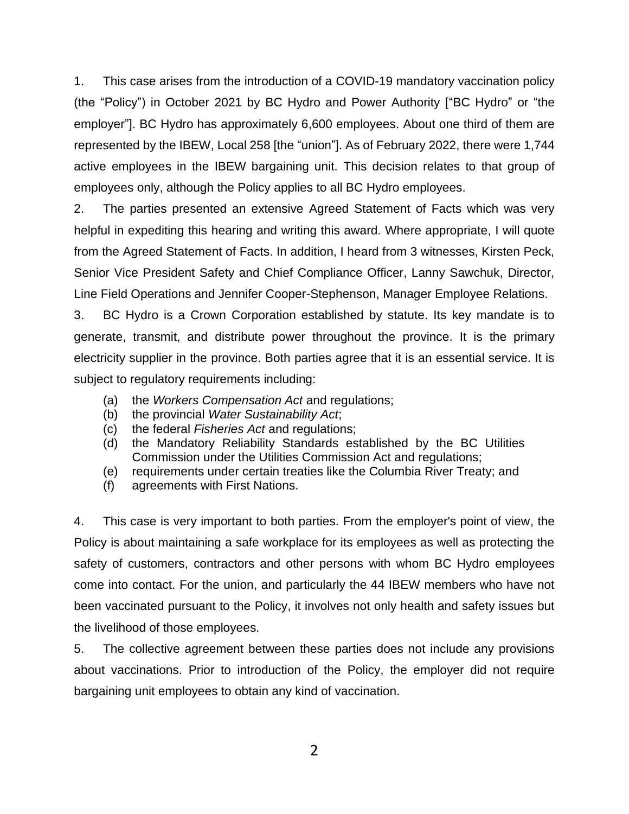1. This case arises from the introduction of a COVID-19 mandatory vaccination policy (the "Policy") in October 2021 by BC Hydro and Power Authority ["BC Hydro" or "the employer"]. BC Hydro has approximately 6,600 employees. About one third of them are represented by the IBEW, Local 258 [the "union"]. As of February 2022, there were 1,744 active employees in the IBEW bargaining unit. This decision relates to that group of employees only, although the Policy applies to all BC Hydro employees.

2. The parties presented an extensive Agreed Statement of Facts which was very helpful in expediting this hearing and writing this award. Where appropriate, I will quote from the Agreed Statement of Facts. In addition, I heard from 3 witnesses, Kirsten Peck, Senior Vice President Safety and Chief Compliance Officer, Lanny Sawchuk, Director, Line Field Operations and Jennifer Cooper-Stephenson, Manager Employee Relations.

3. BC Hydro is a Crown Corporation established by statute. Its key mandate is to generate, transmit, and distribute power throughout the province. It is the primary electricity supplier in the province. Both parties agree that it is an essential service. It is subject to regulatory requirements including:

- (a) the *Workers Compensation Act* and regulations;
- (b) the provincial *Water Sustainability Act*;
- (c) the federal *Fisheries Act* and regulations;
- (d) the Mandatory Reliability Standards established by the BC Utilities Commission under the Utilities Commission Act and regulations;
- (e) requirements under certain treaties like the Columbia River Treaty; and
- (f) agreements with First Nations.

4. This case is very important to both parties. From the employer's point of view, the Policy is about maintaining a safe workplace for its employees as well as protecting the safety of customers, contractors and other persons with whom BC Hydro employees come into contact. For the union, and particularly the 44 IBEW members who have not been vaccinated pursuant to the Policy, it involves not only health and safety issues but the livelihood of those employees.

5. The collective agreement between these parties does not include any provisions about vaccinations. Prior to introduction of the Policy, the employer did not require bargaining unit employees to obtain any kind of vaccination.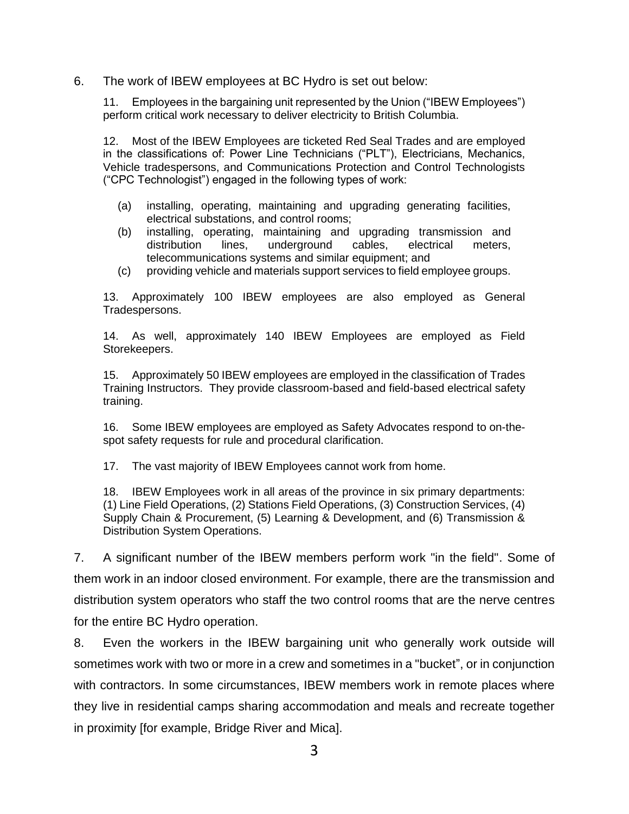6. The work of IBEW employees at BC Hydro is set out below:

11. Employees in the bargaining unit represented by the Union ("IBEW Employees") perform critical work necessary to deliver electricity to British Columbia.

12. Most of the IBEW Employees are ticketed Red Seal Trades and are employed in the classifications of: Power Line Technicians ("PLT"), Electricians, Mechanics, Vehicle tradespersons, and Communications Protection and Control Technologists ("CPC Technologist") engaged in the following types of work:

- (a) installing, operating, maintaining and upgrading generating facilities, electrical substations, and control rooms;
- (b) installing, operating, maintaining and upgrading transmission and distribution lines, underground cables, electrical meters, telecommunications systems and similar equipment; and
- (c) providing vehicle and materials support services to field employee groups.

13. Approximately 100 IBEW employees are also employed as General Tradespersons.

14. As well, approximately 140 IBEW Employees are employed as Field Storekeepers.

15. Approximately 50 IBEW employees are employed in the classification of Trades Training Instructors. They provide classroom-based and field-based electrical safety training.

16. Some IBEW employees are employed as Safety Advocates respond to on-thespot safety requests for rule and procedural clarification.

17. The vast majority of IBEW Employees cannot work from home.

18. IBEW Employees work in all areas of the province in six primary departments: (1) Line Field Operations, (2) Stations Field Operations, (3) Construction Services, (4) Supply Chain & Procurement, (5) Learning & Development, and (6) Transmission & Distribution System Operations.

7. A significant number of the IBEW members perform work "in the field". Some of them work in an indoor closed environment. For example, there are the transmission and distribution system operators who staff the two control rooms that are the nerve centres for the entire BC Hydro operation.

8. Even the workers in the IBEW bargaining unit who generally work outside will sometimes work with two or more in a crew and sometimes in a "bucket", or in conjunction with contractors. In some circumstances, IBEW members work in remote places where they live in residential camps sharing accommodation and meals and recreate together in proximity [for example, Bridge River and Mica].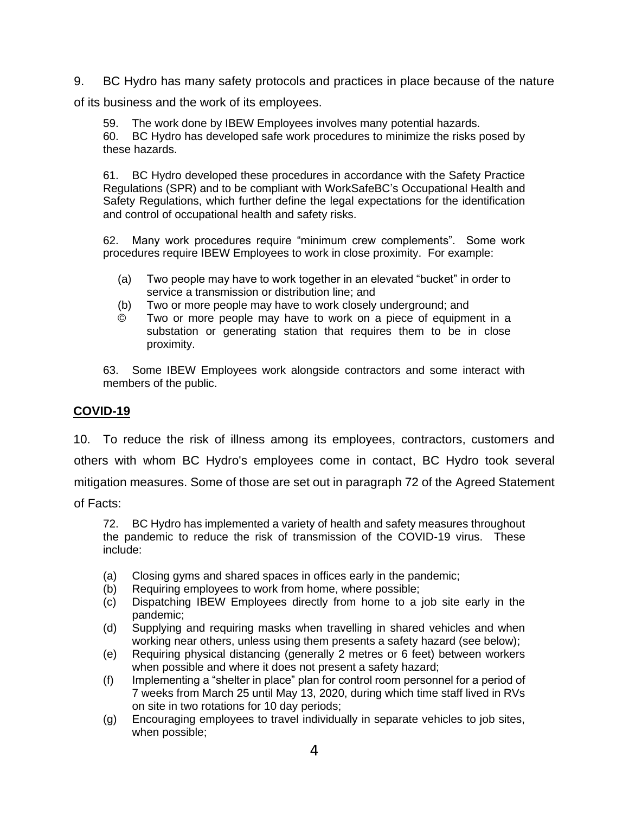9. BC Hydro has many safety protocols and practices in place because of the nature

of its business and the work of its employees.

59. The work done by IBEW Employees involves many potential hazards. 60. BC Hydro has developed safe work procedures to minimize the risks posed by these hazards.

61. BC Hydro developed these procedures in accordance with the Safety Practice Regulations (SPR) and to be compliant with WorkSafeBC's Occupational Health and Safety Regulations, which further define the legal expectations for the identification and control of occupational health and safety risks.

62. Many work procedures require "minimum crew complements". Some work procedures require IBEW Employees to work in close proximity. For example:

- (a) Two people may have to work together in an elevated "bucket" in order to service a transmission or distribution line; and
- (b) Two or more people may have to work closely underground; and
- © Two or more people may have to work on a piece of equipment in a substation or generating station that requires them to be in close proximity.

63. Some IBEW Employees work alongside contractors and some interact with members of the public.

# **COVID-19**

10. To reduce the risk of illness among its employees, contractors, customers and others with whom BC Hydro's employees come in contact, BC Hydro took several mitigation measures. Some of those are set out in paragraph 72 of the Agreed Statement of Facts:

72. BC Hydro has implemented a variety of health and safety measures throughout the pandemic to reduce the risk of transmission of the COVID-19 virus. These include:

- (a) Closing gyms and shared spaces in offices early in the pandemic;
- (b) Requiring employees to work from home, where possible;
- (c) Dispatching IBEW Employees directly from home to a job site early in the pandemic;
- (d) Supplying and requiring masks when travelling in shared vehicles and when working near others, unless using them presents a safety hazard (see below);
- (e) Requiring physical distancing (generally 2 metres or 6 feet) between workers when possible and where it does not present a safety hazard;
- (f) Implementing a "shelter in place" plan for control room personnel for a period of 7 weeks from March 25 until May 13, 2020, during which time staff lived in RVs on site in two rotations for 10 day periods;
- (g) Encouraging employees to travel individually in separate vehicles to job sites, when possible;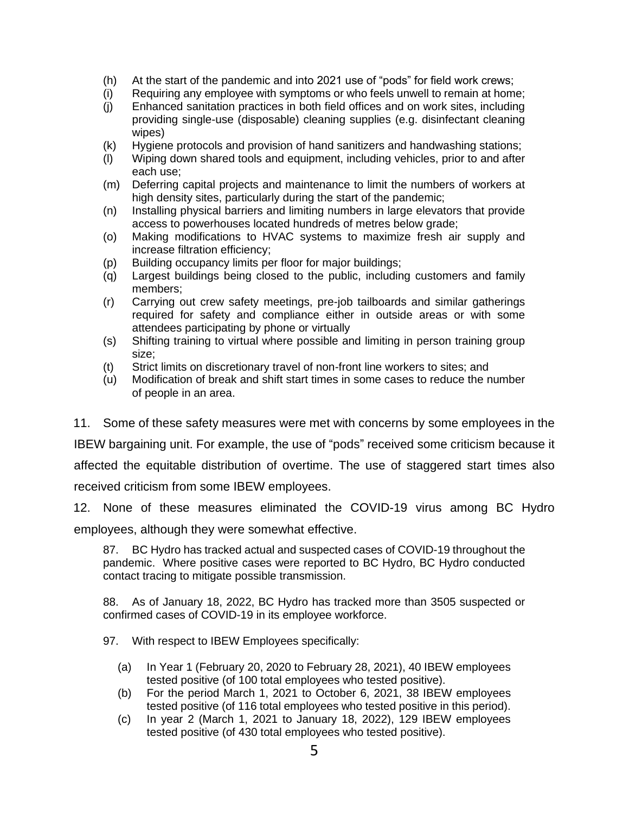- (h) At the start of the pandemic and into 2021 use of "pods" for field work crews;
- (i) Requiring any employee with symptoms or who feels unwell to remain at home;
- (j) Enhanced sanitation practices in both field offices and on work sites, including providing single-use (disposable) cleaning supplies (e.g. disinfectant cleaning wipes)
- (k) Hygiene protocols and provision of hand sanitizers and handwashing stations;
- (l) Wiping down shared tools and equipment, including vehicles, prior to and after each use;
- (m) Deferring capital projects and maintenance to limit the numbers of workers at high density sites, particularly during the start of the pandemic;
- (n) Installing physical barriers and limiting numbers in large elevators that provide access to powerhouses located hundreds of metres below grade;
- (o) Making modifications to HVAC systems to maximize fresh air supply and increase filtration efficiency;
- (p) Building occupancy limits per floor for major buildings;
- (q) Largest buildings being closed to the public, including customers and family members;
- (r) Carrying out crew safety meetings, pre-job tailboards and similar gatherings required for safety and compliance either in outside areas or with some attendees participating by phone or virtually
- (s) Shifting training to virtual where possible and limiting in person training group size;
- (t) Strict limits on discretionary travel of non-front line workers to sites; and
- (u) Modification of break and shift start times in some cases to reduce the number of people in an area.

11. Some of these safety measures were met with concerns by some employees in the

IBEW bargaining unit. For example, the use of "pods" received some criticism because it affected the equitable distribution of overtime. The use of staggered start times also received criticism from some IBEW employees.

12. None of these measures eliminated the COVID-19 virus among BC Hydro employees, although they were somewhat effective.

87. BC Hydro has tracked actual and suspected cases of COVID-19 throughout the pandemic. Where positive cases were reported to BC Hydro, BC Hydro conducted contact tracing to mitigate possible transmission.

88. As of January 18, 2022, BC Hydro has tracked more than 3505 suspected or confirmed cases of COVID-19 in its employee workforce.

97. With respect to IBEW Employees specifically:

- (a) In Year 1 (February 20, 2020 to February 28, 2021), 40 IBEW employees tested positive (of 100 total employees who tested positive).
- (b) For the period March 1, 2021 to October 6, 2021, 38 IBEW employees tested positive (of 116 total employees who tested positive in this period).
- (c) In year 2 (March 1, 2021 to January 18, 2022), 129 IBEW employees tested positive (of 430 total employees who tested positive).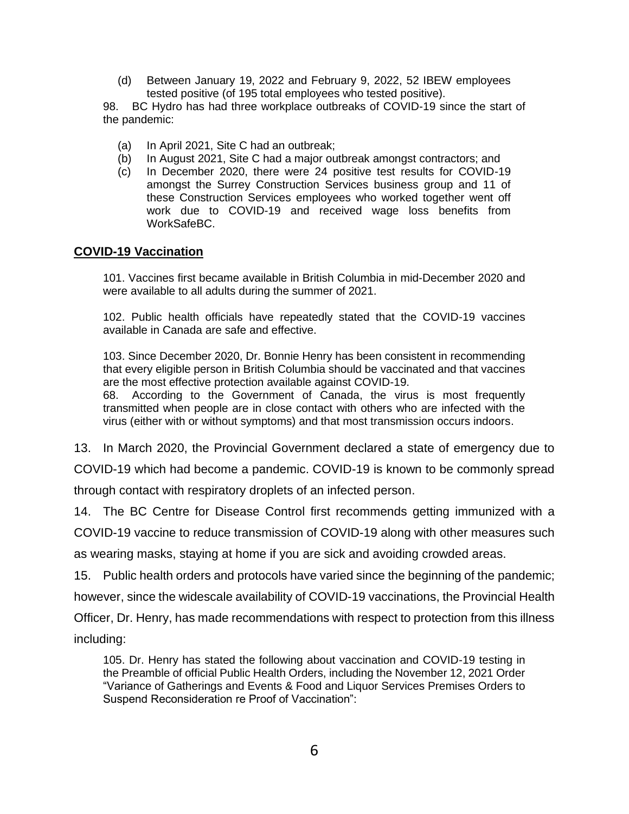(d) Between January 19, 2022 and February 9, 2022, 52 IBEW employees tested positive (of 195 total employees who tested positive).

98. BC Hydro has had three workplace outbreaks of COVID-19 since the start of the pandemic:

- (a) In April 2021, Site C had an outbreak;
- (b) In August 2021, Site C had a major outbreak amongst contractors; and
- (c) In December 2020, there were 24 positive test results for COVID-19 amongst the Surrey Construction Services business group and 11 of these Construction Services employees who worked together went off work due to COVID-19 and received wage loss benefits from WorkSafeBC.

## **COVID-19 Vaccination**

101. Vaccines first became available in British Columbia in mid-December 2020 and were available to all adults during the summer of 2021.

102. Public health officials have repeatedly stated that the COVID-19 vaccines available in Canada are safe and effective.

103. Since December 2020, Dr. Bonnie Henry has been consistent in recommending that every eligible person in British Columbia should be vaccinated and that vaccines are the most effective protection available against COVID-19.

68. According to the Government of Canada, the virus is most frequently transmitted when people are in close contact with others who are infected with the virus (either with or without symptoms) and that most transmission occurs indoors.

13. In March 2020, the Provincial Government declared a state of emergency due to

COVID-19 which had become a pandemic. COVID-19 is known to be commonly spread

through contact with respiratory droplets of an infected person.

14. The BC Centre for Disease Control first recommends getting immunized with a

COVID-19 vaccine to reduce transmission of COVID-19 along with other measures such

as wearing masks, staying at home if you are sick and avoiding crowded areas.

15. Public health orders and protocols have varied since the beginning of the pandemic;

however, since the widescale availability of COVID-19 vaccinations, the Provincial Health

Officer, Dr. Henry, has made recommendations with respect to protection from this illness

including:

105. Dr. Henry has stated the following about vaccination and COVID-19 testing in the Preamble of official Public Health Orders, including the November 12, 2021 Order "Variance of Gatherings and Events & Food and Liquor Services Premises Orders to Suspend Reconsideration re Proof of Vaccination":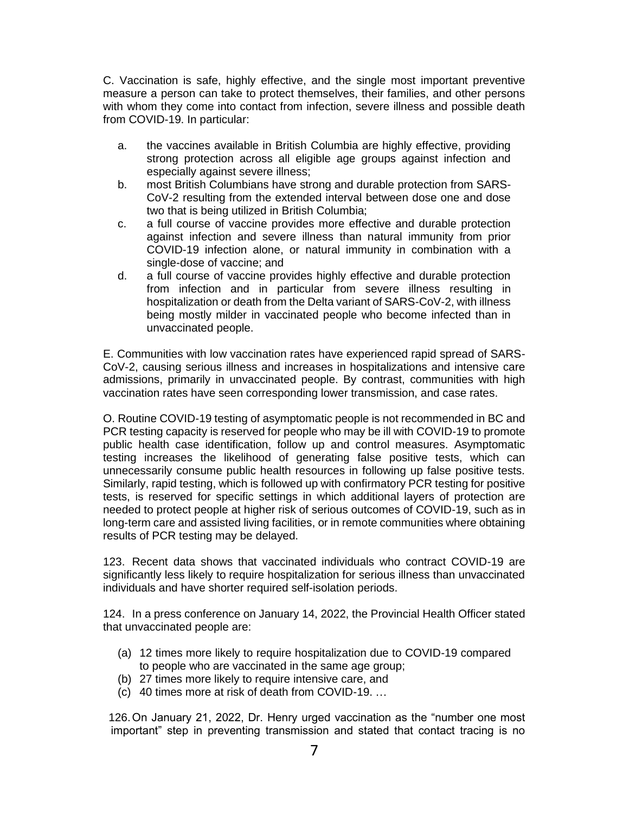C. Vaccination is safe, highly effective, and the single most important preventive measure a person can take to protect themselves, their families, and other persons with whom they come into contact from infection, severe illness and possible death from COVID-19. In particular:

- a. the vaccines available in British Columbia are highly effective, providing strong protection across all eligible age groups against infection and especially against severe illness;
- b. most British Columbians have strong and durable protection from SARS-CoV-2 resulting from the extended interval between dose one and dose two that is being utilized in British Columbia;
- c. a full course of vaccine provides more effective and durable protection against infection and severe illness than natural immunity from prior COVID-19 infection alone, or natural immunity in combination with a single-dose of vaccine; and
- d. a full course of vaccine provides highly effective and durable protection from infection and in particular from severe illness resulting in hospitalization or death from the Delta variant of SARS-CoV-2, with illness being mostly milder in vaccinated people who become infected than in unvaccinated people.

E. Communities with low vaccination rates have experienced rapid spread of SARS-CoV-2, causing serious illness and increases in hospitalizations and intensive care admissions, primarily in unvaccinated people. By contrast, communities with high vaccination rates have seen corresponding lower transmission, and case rates.

O. Routine COVID-19 testing of asymptomatic people is not recommended in BC and PCR testing capacity is reserved for people who may be ill with COVID-19 to promote public health case identification, follow up and control measures. Asymptomatic testing increases the likelihood of generating false positive tests, which can unnecessarily consume public health resources in following up false positive tests. Similarly, rapid testing, which is followed up with confirmatory PCR testing for positive tests, is reserved for specific settings in which additional layers of protection are needed to protect people at higher risk of serious outcomes of COVID-19, such as in long-term care and assisted living facilities, or in remote communities where obtaining results of PCR testing may be delayed.

123. Recent data shows that vaccinated individuals who contract COVID-19 are significantly less likely to require hospitalization for serious illness than unvaccinated individuals and have shorter required self-isolation periods.

124. In a press conference on January 14, 2022, the Provincial Health Officer stated that unvaccinated people are:

- (a) 12 times more likely to require hospitalization due to COVID-19 compared to people who are vaccinated in the same age group;
- (b) 27 times more likely to require intensive care, and
- (c) 40 times more at risk of death from COVID-19. …

 126.On January 21, 2022, Dr. Henry urged vaccination as the "number one most important" step in preventing transmission and stated that contact tracing is no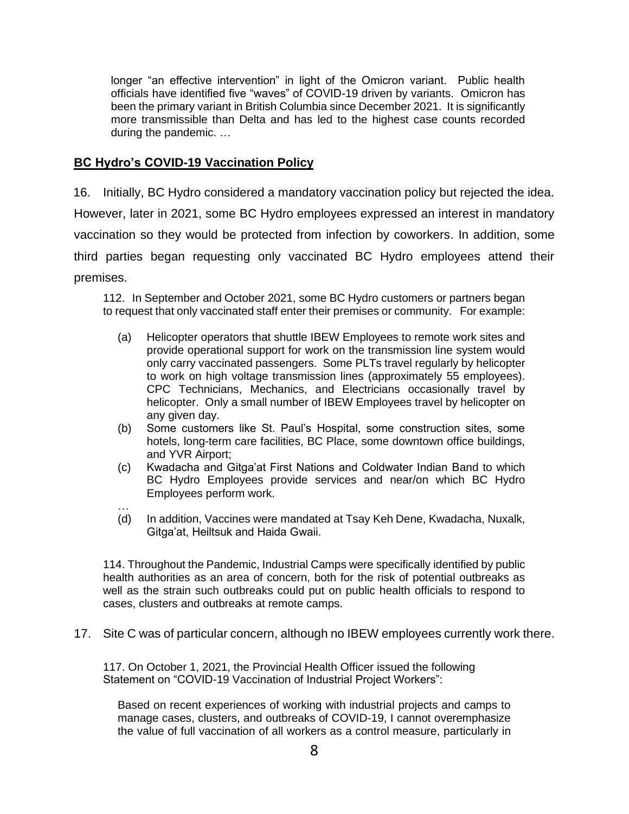longer "an effective intervention" in light of the Omicron variant. Public health officials have identified five "waves" of COVID-19 driven by variants. Omicron has been the primary variant in British Columbia since December 2021. It is significantly more transmissible than Delta and has led to the highest case counts recorded during the pandemic. …

## **BC Hydro's COVID-19 Vaccination Policy**

16. Initially, BC Hydro considered a mandatory vaccination policy but rejected the idea. However, later in 2021, some BC Hydro employees expressed an interest in mandatory vaccination so they would be protected from infection by coworkers. In addition, some third parties began requesting only vaccinated BC Hydro employees attend their premises.

112. In September and October 2021, some BC Hydro customers or partners began to request that only vaccinated staff enter their premises or community. For example:

- (a) Helicopter operators that shuttle IBEW Employees to remote work sites and provide operational support for work on the transmission line system would only carry vaccinated passengers. Some PLTs travel regularly by helicopter to work on high voltage transmission lines (approximately 55 employees). CPC Technicians, Mechanics, and Electricians occasionally travel by helicopter. Only a small number of IBEW Employees travel by helicopter on any given day.
- (b) Some customers like St. Paul's Hospital, some construction sites, some hotels, long-term care facilities, BC Place, some downtown office buildings, and YVR Airport;
- (c) Kwadacha and Gitga'at First Nations and Coldwater Indian Band to which BC Hydro Employees provide services and near/on which BC Hydro Employees perform work.
- … (d) In addition, Vaccines were mandated at Tsay Keh Dene, Kwadacha, Nuxalk, Gitga'at, Heiltsuk and Haida Gwaii.

114. Throughout the Pandemic, Industrial Camps were specifically identified by public health authorities as an area of concern, both for the risk of potential outbreaks as well as the strain such outbreaks could put on public health officials to respond to cases, clusters and outbreaks at remote camps.

17. Site C was of particular concern, although no IBEW employees currently work there.

117. On October 1, 2021, the Provincial Health Officer issued the following Statement on "COVID-19 Vaccination of Industrial Project Workers":

Based on recent experiences of working with industrial projects and camps to manage cases, clusters, and outbreaks of COVID-19, I cannot overemphasize the value of full vaccination of all workers as a control measure, particularly in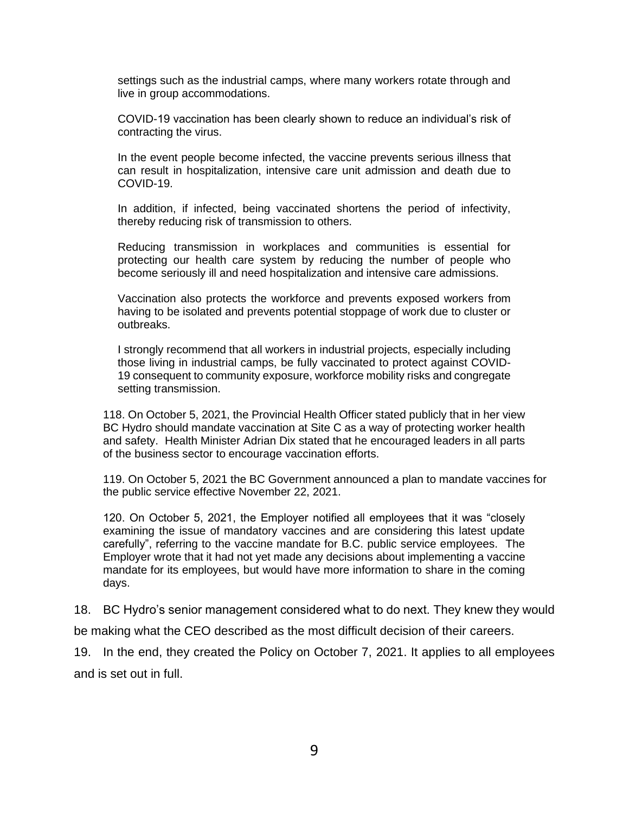settings such as the industrial camps, where many workers rotate through and live in group accommodations.

COVID-19 vaccination has been clearly shown to reduce an individual's risk of contracting the virus.

In the event people become infected, the vaccine prevents serious illness that can result in hospitalization, intensive care unit admission and death due to COVID-19.

In addition, if infected, being vaccinated shortens the period of infectivity, thereby reducing risk of transmission to others.

Reducing transmission in workplaces and communities is essential for protecting our health care system by reducing the number of people who become seriously ill and need hospitalization and intensive care admissions.

Vaccination also protects the workforce and prevents exposed workers from having to be isolated and prevents potential stoppage of work due to cluster or outbreaks.

I strongly recommend that all workers in industrial projects, especially including those living in industrial camps, be fully vaccinated to protect against COVID-19 consequent to community exposure, workforce mobility risks and congregate setting transmission.

118. On October 5, 2021, the Provincial Health Officer stated publicly that in her view BC Hydro should mandate vaccination at Site C as a way of protecting worker health and safety. Health Minister Adrian Dix stated that he encouraged leaders in all parts of the business sector to encourage vaccination efforts.

119. On October 5, 2021 the BC Government announced a plan to mandate vaccines for the public service effective November 22, 2021.

120. On October 5, 2021, the Employer notified all employees that it was "closely examining the issue of mandatory vaccines and are considering this latest update carefully", referring to the vaccine mandate for B.C. public service employees. The Employer wrote that it had not yet made any decisions about implementing a vaccine mandate for its employees, but would have more information to share in the coming days.

18. BC Hydro's senior management considered what to do next. They knew they would

be making what the CEO described as the most difficult decision of their careers.

19. In the end, they created the Policy on October 7, 2021. It applies to all employees and is set out in full.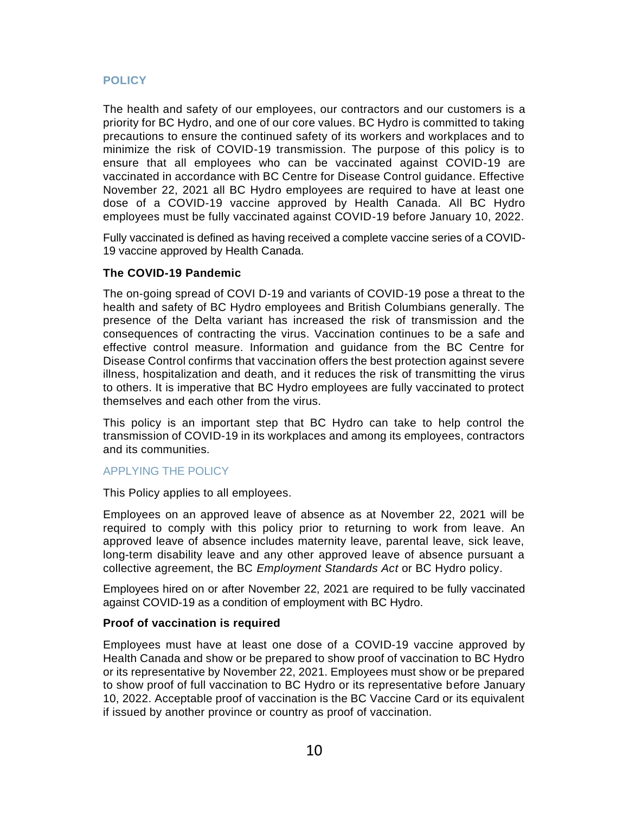## **POLICY**

The health and safety of our employees, our contractors and our customers is a priority for BC Hydro, and one of our core values. BC Hydro is committed to taking precautions to ensure the continued safety of its workers and workplaces and to minimize the risk of COVID-19 transmission. The purpose of this policy is to ensure that all employees who can be vaccinated against COVID-19 are vaccinated in accordance with BC Centre for Disease Control guidance. Effective November 22, 2021 all BC Hydro employees are required to have at least one dose of a COVID-19 vaccine approved by Health Canada. All BC Hydro employees must be fully vaccinated against COVID-19 before January 10, 2022.

Fully vaccinated is defined as having received a complete vaccine series of a COVID-19 vaccine approved by Health Canada.

## **The COVID-19 Pandemic**

The on-going spread of COVI D-19 and variants of COVID-19 pose a threat to the health and safety of BC Hydro employees and British Columbians generally. The presence of the Delta variant has increased the risk of transmission and the consequences of contracting the virus. Vaccination continues to be a safe and effective control measure. Information and guidance from the BC Centre for Disease Control confirms that vaccination offers the best protection against severe illness, hospitalization and death, and it reduces the risk of transmitting the virus to others. It is imperative that BC Hydro employees are fully vaccinated to protect themselves and each other from the virus.

This policy is an important step that BC Hydro can take to help control the transmission of COVID-19 in its workplaces and among its employees, contractors and its communities.

## APPLYING THE POLICY

This Policy applies to all employees.

Employees on an approved leave of absence as at November 22, 2021 will be required to comply with this policy prior to returning to work from leave. An approved leave of absence includes maternity leave, parental leave, sick leave, long-term disability leave and any other approved leave of absence pursuant a collective agreement, the BC *Employment Standards Act* or BC Hydro policy.

Employees hired on or after November 22, 2021 are required to be fully vaccinated against COVID-19 as a condition of employment with BC Hydro.

#### **Proof of vaccination is required**

Employees must have at least one dose of a COVID-19 vaccine approved by Health Canada and show or be prepared to show proof of vaccination to BC Hydro or its representative by November 22, 2021. Employees must show or be prepared to show proof of full vaccination to BC Hydro or its representative before January 10, 2022. Acceptable proof of vaccination is the BC Vaccine Card or its equivalent if issued by another province or country as proof of vaccination.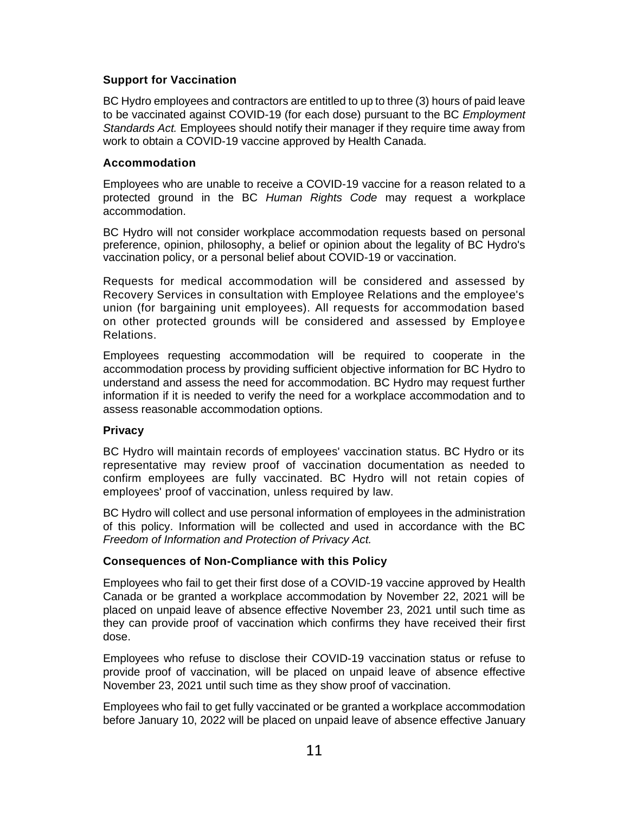## **Support for Vaccination**

BC Hydro employees and contractors are entitled to up to three (3) hours of paid leave to be vaccinated against COVID-19 (for each dose) pursuant to the BC *Employment Standards Act.* Employees should notify their manager if they require time away from work to obtain a COVID-19 vaccine approved by Health Canada.

#### **Accommodation**

Employees who are unable to receive a COVID-19 vaccine for a reason related to a protected ground in the BC *Human Rights Code* may request a workplace accommodation.

BC Hydro will not consider workplace accommodation requests based on personal preference, opinion, philosophy, a belief or opinion about the legality of BC Hydro's vaccination policy, or a personal belief about COVID-19 or vaccination.

Requests for medical accommodation will be considered and assessed by Recovery Services in consultation with Employee Relations and the employee's union (for bargaining unit employees). All requests for accommodation based on other protected grounds will be considered and assessed by Employee Relations.

Employees requesting accommodation will be required to cooperate in the accommodation process by providing sufficient objective information for BC Hydro to understand and assess the need for accommodation. BC Hydro may request further information if it is needed to verify the need for a workplace accommodation and to assess reasonable accommodation options.

#### **Privacy**

BC Hydro will maintain records of employees' vaccination status. BC Hydro or its representative may review proof of vaccination documentation as needed to confirm employees are fully vaccinated. BC Hydro will not retain copies of employees' proof of vaccination, unless required by law.

BC Hydro will collect and use personal information of employees in the administration of this policy. Information will be collected and used in accordance with the BC *Freedom of Information and Protection of Privacy Act.*

#### **Consequences of Non-Compliance with this Policy**

Employees who fail to get their first dose of a COVID-19 vaccine approved by Health Canada or be granted a workplace accommodation by November 22, 2021 will be placed on unpaid leave of absence effective November 23, 2021 until such time as they can provide proof of vaccination which confirms they have received their first dose.

Employees who refuse to disclose their COVID-19 vaccination status or refuse to provide proof of vaccination, will be placed on unpaid leave of absence effective November 23, 2021 until such time as they show proof of vaccination.

Employees who fail to get fully vaccinated or be granted a workplace accommodation before January 10, 2022 will be placed on unpaid leave of absence effective January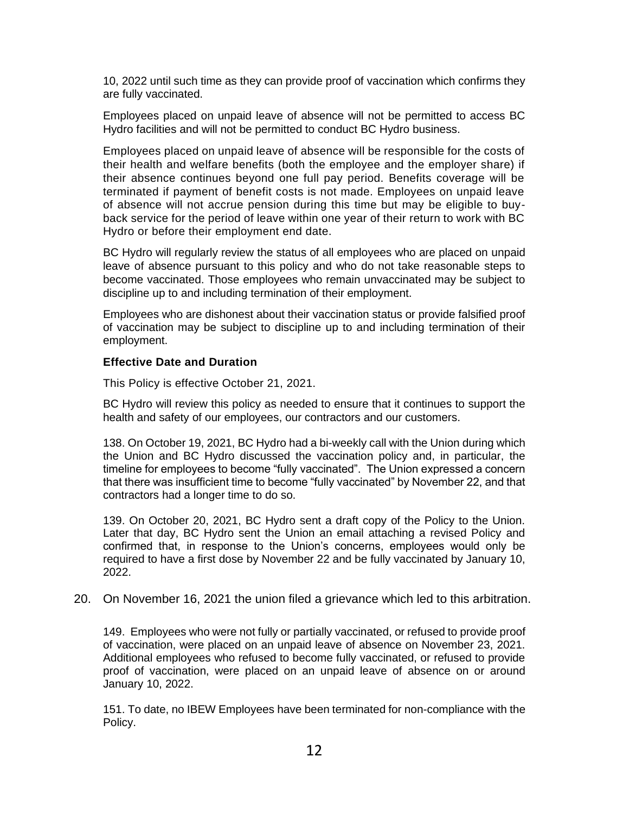10, 2022 until such time as they can provide proof of vaccination which confirms they are fully vaccinated.

Employees placed on unpaid leave of absence will not be permitted to access BC Hydro facilities and will not be permitted to conduct BC Hydro business.

Employees placed on unpaid leave of absence will be responsible for the costs of their health and welfare benefits (both the employee and the employer share) if their absence continues beyond one full pay period. Benefits coverage will be terminated if payment of benefit costs is not made. Employees on unpaid leave of absence will not accrue pension during this time but may be eligible to buyback service for the period of leave within one year of their return to work with BC Hydro or before their employment end date.

BC Hydro will regularly review the status of all employees who are placed on unpaid leave of absence pursuant to this policy and who do not take reasonable steps to become vaccinated. Those employees who remain unvaccinated may be subject to discipline up to and including termination of their employment.

Employees who are dishonest about their vaccination status or provide falsified proof of vaccination may be subject to discipline up to and including termination of their employment.

#### **Effective Date and Duration**

This Policy is effective October 21, 2021.

BC Hydro will review this policy as needed to ensure that it continues to support the health and safety of our employees, our contractors and our customers.

138. On October 19, 2021, BC Hydro had a bi-weekly call with the Union during which the Union and BC Hydro discussed the vaccination policy and, in particular, the timeline for employees to become "fully vaccinated". The Union expressed a concern that there was insufficient time to become "fully vaccinated" by November 22, and that contractors had a longer time to do so.

139. On October 20, 2021, BC Hydro sent a draft copy of the Policy to the Union. Later that day, BC Hydro sent the Union an email attaching a revised Policy and confirmed that, in response to the Union's concerns, employees would only be required to have a first dose by November 22 and be fully vaccinated by January 10, 2022.

## 20. On November 16, 2021 the union filed a grievance which led to this arbitration.

149. Employees who were not fully or partially vaccinated, or refused to provide proof of vaccination, were placed on an unpaid leave of absence on November 23, 2021. Additional employees who refused to become fully vaccinated, or refused to provide proof of vaccination, were placed on an unpaid leave of absence on or around January 10, 2022.

151. To date, no IBEW Employees have been terminated for non-compliance with the Policy.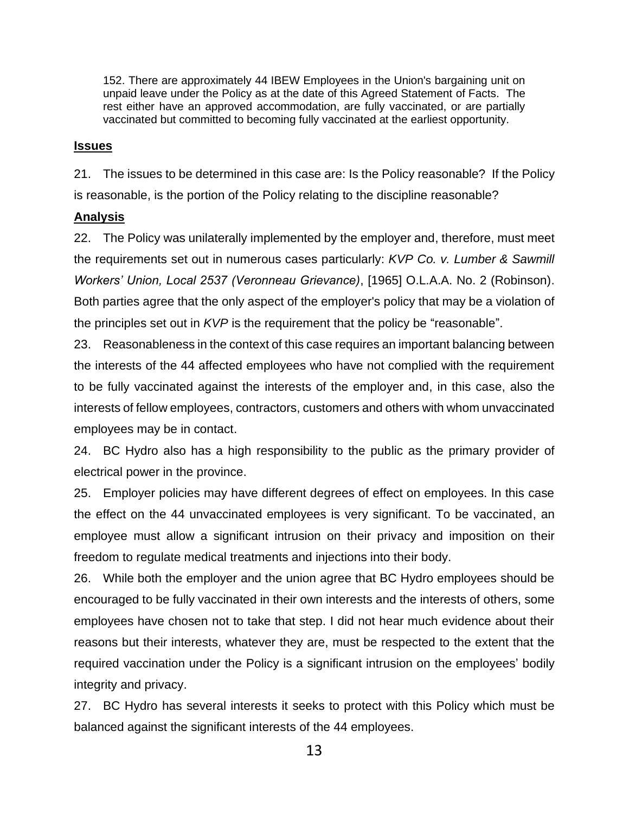152. There are approximately 44 IBEW Employees in the Union's bargaining unit on unpaid leave under the Policy as at the date of this Agreed Statement of Facts. The rest either have an approved accommodation, are fully vaccinated, or are partially vaccinated but committed to becoming fully vaccinated at the earliest opportunity.

## **Issues**

21. The issues to be determined in this case are: Is the Policy reasonable? If the Policy is reasonable, is the portion of the Policy relating to the discipline reasonable?

# **Analysis**

22. The Policy was unilaterally implemented by the employer and, therefore, must meet the requirements set out in numerous cases particularly: *KVP Co. v. Lumber & Sawmill Workers' Union, Local 2537 (Veronneau Grievance)*, [1965] O.L.A.A. No. 2 (Robinson). Both parties agree that the only aspect of the employer's policy that may be a violation of the principles set out in *KVP* is the requirement that the policy be "reasonable".

23. Reasonableness in the context of this case requires an important balancing between the interests of the 44 affected employees who have not complied with the requirement to be fully vaccinated against the interests of the employer and, in this case, also the interests of fellow employees, contractors, customers and others with whom unvaccinated employees may be in contact.

24. BC Hydro also has a high responsibility to the public as the primary provider of electrical power in the province.

25. Employer policies may have different degrees of effect on employees. In this case the effect on the 44 unvaccinated employees is very significant. To be vaccinated, an employee must allow a significant intrusion on their privacy and imposition on their freedom to regulate medical treatments and injections into their body.

26. While both the employer and the union agree that BC Hydro employees should be encouraged to be fully vaccinated in their own interests and the interests of others, some employees have chosen not to take that step. I did not hear much evidence about their reasons but their interests, whatever they are, must be respected to the extent that the required vaccination under the Policy is a significant intrusion on the employees' bodily integrity and privacy.

27. BC Hydro has several interests it seeks to protect with this Policy which must be balanced against the significant interests of the 44 employees.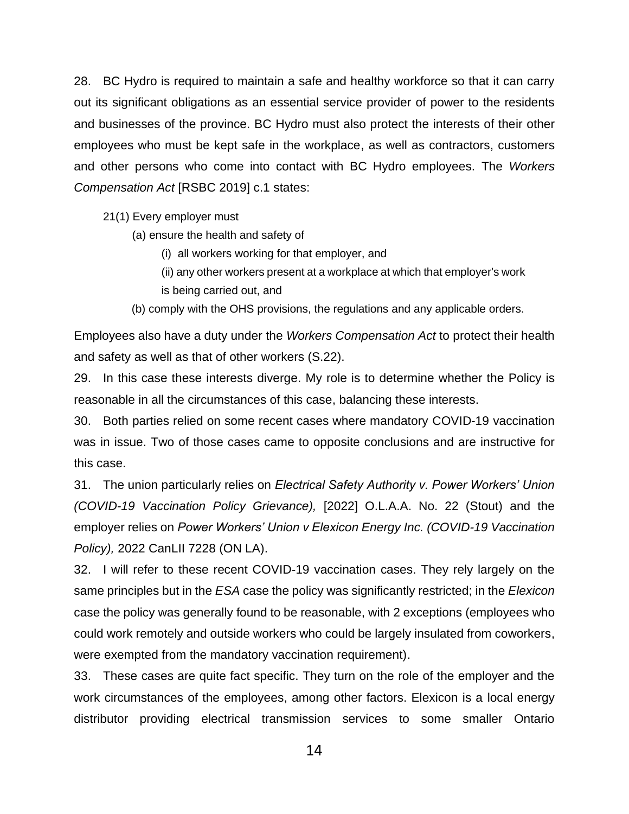28. BC Hydro is required to maintain a safe and healthy workforce so that it can carry out its significant obligations as an essential service provider of power to the residents and businesses of the province. BC Hydro must also protect the interests of their other employees who must be kept safe in the workplace, as well as contractors, customers and other persons who come into contact with BC Hydro employees. The *Workers Compensation Act* [RSBC 2019] c.1 states:

21(1) Every employer must

(a) ensure the health and safety of

(i) all workers working for that employer, and

- (ii) any other workers present at a workplace at which that employer's work
- is being carried out, and
- (b) comply with the OHS provisions, the regulations and any applicable orders.

Employees also have a duty under the *Workers Compensation Act* to protect their health and safety as well as that of other workers (S.22).

29. In this case these interests diverge. My role is to determine whether the Policy is reasonable in all the circumstances of this case, balancing these interests.

30. Both parties relied on some recent cases where mandatory COVID-19 vaccination was in issue. Two of those cases came to opposite conclusions and are instructive for this case.

31. The union particularly relies on *Electrical Safety Authority v. Power Workers' Union (COVID-19 Vaccination Policy Grievance),* [2022] O.L.A.A. No. 22 (Stout) and the employer relies on *Power Workers' Union v Elexicon Energy Inc. (COVID-19 Vaccination Policy),* 2022 CanLII 7228 (ON LA).

32. I will refer to these recent COVID-19 vaccination cases. They rely largely on the same principles but in the *ESA* case the policy was significantly restricted; in the *Elexicon* case the policy was generally found to be reasonable, with 2 exceptions (employees who could work remotely and outside workers who could be largely insulated from coworkers, were exempted from the mandatory vaccination requirement).

33. These cases are quite fact specific. They turn on the role of the employer and the work circumstances of the employees, among other factors. Elexicon is a local energy distributor providing electrical transmission services to some smaller Ontario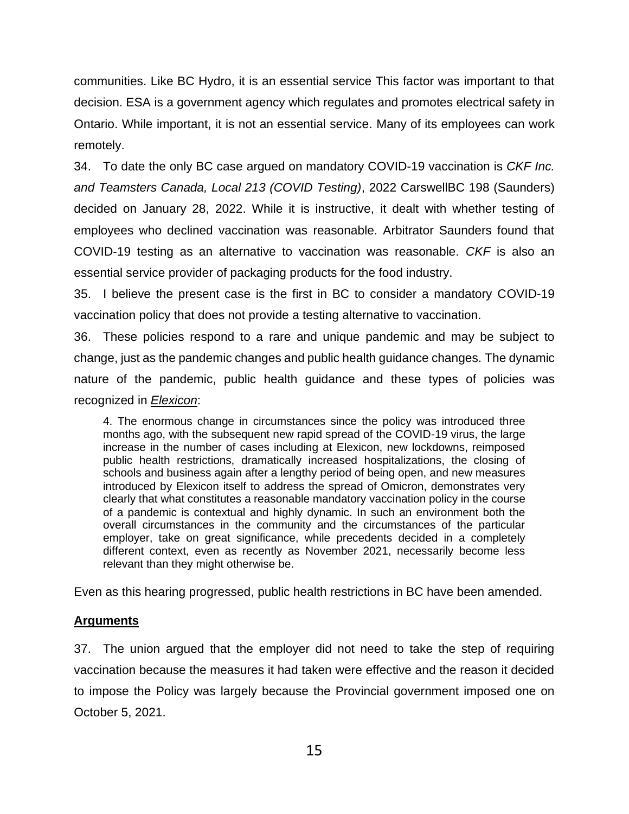communities. Like BC Hydro, it is an essential service This factor was important to that decision. ESA is a government agency which regulates and promotes electrical safety in Ontario. While important, it is not an essential service. Many of its employees can work remotely.

34. To date the only BC case argued on mandatory COVID-19 vaccination is *CKF Inc. and Teamsters Canada, Local 213 (COVID Testing)*, 2022 CarswellBC 198 (Saunders) decided on January 28, 2022. While it is instructive, it dealt with whether testing of employees who declined vaccination was reasonable. Arbitrator Saunders found that COVID-19 testing as an alternative to vaccination was reasonable. *CKF* is also an essential service provider of packaging products for the food industry.

35. I believe the present case is the first in BC to consider a mandatory COVID-19 vaccination policy that does not provide a testing alternative to vaccination.

36. These policies respond to a rare and unique pandemic and may be subject to change, just as the pandemic changes and public health guidance changes. The dynamic nature of the pandemic, public health guidance and these types of policies was recognized in *Elexicon*:

4. The enormous change in circumstances since the policy was introduced three months ago, with the subsequent new rapid spread of the COVID-19 virus, the large increase in the number of cases including at Elexicon, new lockdowns, reimposed public health restrictions, dramatically increased hospitalizations, the closing of schools and business again after a lengthy period of being open, and new measures introduced by Elexicon itself to address the spread of Omicron, demonstrates very clearly that what constitutes a reasonable mandatory vaccination policy in the course of a pandemic is contextual and highly dynamic. In such an environment both the overall circumstances in the community and the circumstances of the particular employer, take on great significance, while precedents decided in a completely different context, even as recently as November 2021, necessarily become less relevant than they might otherwise be.

Even as this hearing progressed, public health restrictions in BC have been amended.

# **Arguments**

37. The union argued that the employer did not need to take the step of requiring vaccination because the measures it had taken were effective and the reason it decided to impose the Policy was largely because the Provincial government imposed one on October 5, 2021.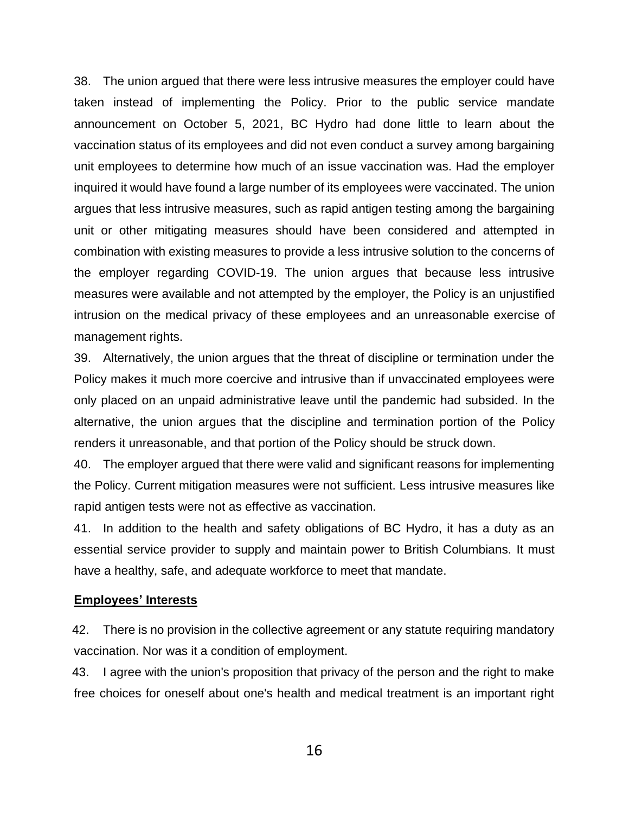38. The union argued that there were less intrusive measures the employer could have taken instead of implementing the Policy. Prior to the public service mandate announcement on October 5, 2021, BC Hydro had done little to learn about the vaccination status of its employees and did not even conduct a survey among bargaining unit employees to determine how much of an issue vaccination was. Had the employer inquired it would have found a large number of its employees were vaccinated. The union argues that less intrusive measures, such as rapid antigen testing among the bargaining unit or other mitigating measures should have been considered and attempted in combination with existing measures to provide a less intrusive solution to the concerns of the employer regarding COVID-19. The union argues that because less intrusive measures were available and not attempted by the employer, the Policy is an unjustified intrusion on the medical privacy of these employees and an unreasonable exercise of management rights.

39. Alternatively, the union argues that the threat of discipline or termination under the Policy makes it much more coercive and intrusive than if unvaccinated employees were only placed on an unpaid administrative leave until the pandemic had subsided. In the alternative, the union argues that the discipline and termination portion of the Policy renders it unreasonable, and that portion of the Policy should be struck down.

40. The employer argued that there were valid and significant reasons for implementing the Policy. Current mitigation measures were not sufficient. Less intrusive measures like rapid antigen tests were not as effective as vaccination.

41. In addition to the health and safety obligations of BC Hydro, it has a duty as an essential service provider to supply and maintain power to British Columbians. It must have a healthy, safe, and adequate workforce to meet that mandate.

## **Employees' Interests**

42. There is no provision in the collective agreement or any statute requiring mandatory vaccination. Nor was it a condition of employment.

43. I agree with the union's proposition that privacy of the person and the right to make free choices for oneself about one's health and medical treatment is an important right

16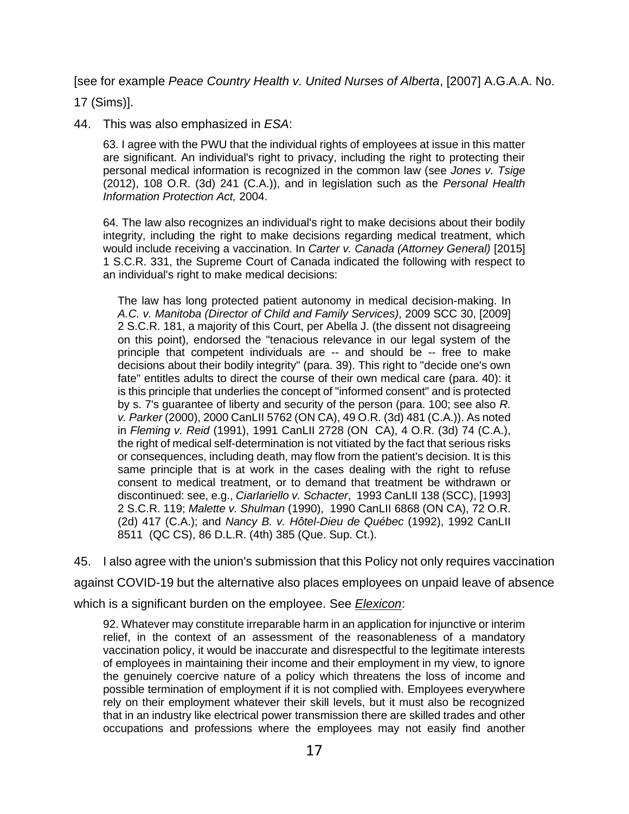[see for example *Peace Country Health v. United Nurses of Alberta*, [2007] A.G.A.A. No.

17 (Sims)].

44. This was also emphasized in *ESA*:

63. I agree with the PWU that the individual rights of employees at issue in this matter are significant. An individual's right to privacy, including the right to protecting their personal medical information is recognized in the common law (see *Jones v. Tsige* (2012), 108 O.R. (3d) 241 (C.A.)), and in legislation such as the *Personal Health Information Protection Act,* 2004.

64. The law also recognizes an individual's right to make decisions about their bodily integrity, including the right to make decisions regarding medical treatment, which would include receiving a vaccination. In *Carter v. Canada (Attorney General)* [2015] 1 S.C.R. 331, the Supreme Court of Canada indicated the following with respect to an individual's right to make medical decisions:

The law has long protected patient autonomy in medical decision-making. In *A.C. v. Manitoba (Director of Child and Family Services)*, 2009 SCC 30, [2009] 2 S.C.R. 181, a majority of this Court, per Abella J. (the dissent not disagreeing on this point), endorsed the "tenacious relevance in our legal system of the principle that competent individuals are -- and should be -- free to make decisions about their bodily integrity" (para. 39). This right to "decide one's own fate" entitles adults to direct the course of their own medical care (para. 40): it is this principle that underlies the concept of "informed consent" and is protected by s. 7's guarantee of liberty and security of the person (para. 100; see also *R. v. Parker* (2000), 2000 CanLII 5762 (ON CA), 49 O.R. (3d) 481 (C.A.)). As noted in *Fleming v. Reid* (1991), 1991 CanLII 2728 (ON CA), 4 O.R. (3d) 74 (C.A.), the right of medical self-determination is not vitiated by the fact that serious risks or consequences, including death, may flow from the patient's decision. It is this same principle that is at work in the cases dealing with the right to refuse consent to medical treatment, or to demand that treatment be withdrawn or discontinued: see, e.g., *Ciarlariello v. Schacter*, 1993 CanLII 138 (SCC), [1993] 2 S.C.R. 119; *Malette v. Shulman* (1990), 1990 CanLII 6868 (ON CA), 72 O.R. (2d) 417 (C.A.); and *Nancy B. v. Hôtel-Dieu de Québec* (1992), 1992 CanLII 8511 (QC CS), 86 D.L.R. (4th) 385 (Que. Sup. Ct.).

45. I also agree with the union's submission that this Policy not only requires vaccination against COVID-19 but the alternative also places employees on unpaid leave of absence which is a significant burden on the employee. See *Elexicon*:

92. Whatever may constitute irreparable harm in an application for injunctive or interim relief, in the context of an assessment of the reasonableness of a mandatory vaccination policy, it would be inaccurate and disrespectful to the legitimate interests of employees in maintaining their income and their employment in my view, to ignore the genuinely coercive nature of a policy which threatens the loss of income and possible termination of employment if it is not complied with. Employees everywhere rely on their employment whatever their skill levels, but it must also be recognized that in an industry like electrical power transmission there are skilled trades and other occupations and professions where the employees may not easily find another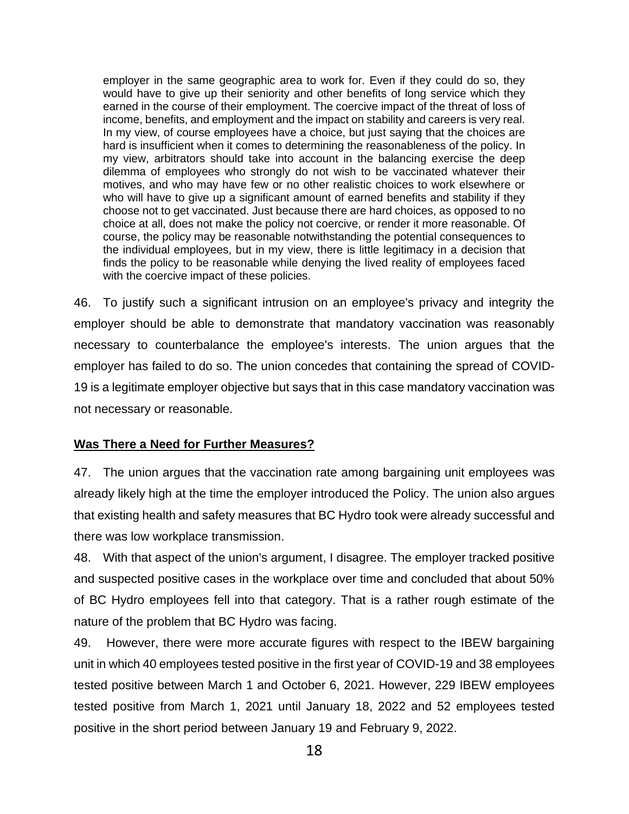employer in the same geographic area to work for. Even if they could do so, they would have to give up their seniority and other benefits of long service which they earned in the course of their employment. The coercive impact of the threat of loss of income, benefits, and employment and the impact on stability and careers is very real. In my view, of course employees have a choice, but just saying that the choices are hard is insufficient when it comes to determining the reasonableness of the policy. In my view, arbitrators should take into account in the balancing exercise the deep dilemma of employees who strongly do not wish to be vaccinated whatever their motives, and who may have few or no other realistic choices to work elsewhere or who will have to give up a significant amount of earned benefits and stability if they choose not to get vaccinated. Just because there are hard choices, as opposed to no choice at all, does not make the policy not coercive, or render it more reasonable. Of course, the policy may be reasonable notwithstanding the potential consequences to the individual employees, but in my view, there is little legitimacy in a decision that finds the policy to be reasonable while denying the lived reality of employees faced with the coercive impact of these policies.

46. To justify such a significant intrusion on an employee's privacy and integrity the employer should be able to demonstrate that mandatory vaccination was reasonably necessary to counterbalance the employee's interests. The union argues that the employer has failed to do so. The union concedes that containing the spread of COVID-19 is a legitimate employer objective but says that in this case mandatory vaccination was not necessary or reasonable.

## **Was There a Need for Further Measures?**

47. The union argues that the vaccination rate among bargaining unit employees was already likely high at the time the employer introduced the Policy. The union also argues that existing health and safety measures that BC Hydro took were already successful and there was low workplace transmission.

48. With that aspect of the union's argument, I disagree. The employer tracked positive and suspected positive cases in the workplace over time and concluded that about 50% of BC Hydro employees fell into that category. That is a rather rough estimate of the nature of the problem that BC Hydro was facing.

49. However, there were more accurate figures with respect to the IBEW bargaining unit in which 40 employees tested positive in the first year of COVID-19 and 38 employees tested positive between March 1 and October 6, 2021. However, 229 IBEW employees tested positive from March 1, 2021 until January 18, 2022 and 52 employees tested positive in the short period between January 19 and February 9, 2022.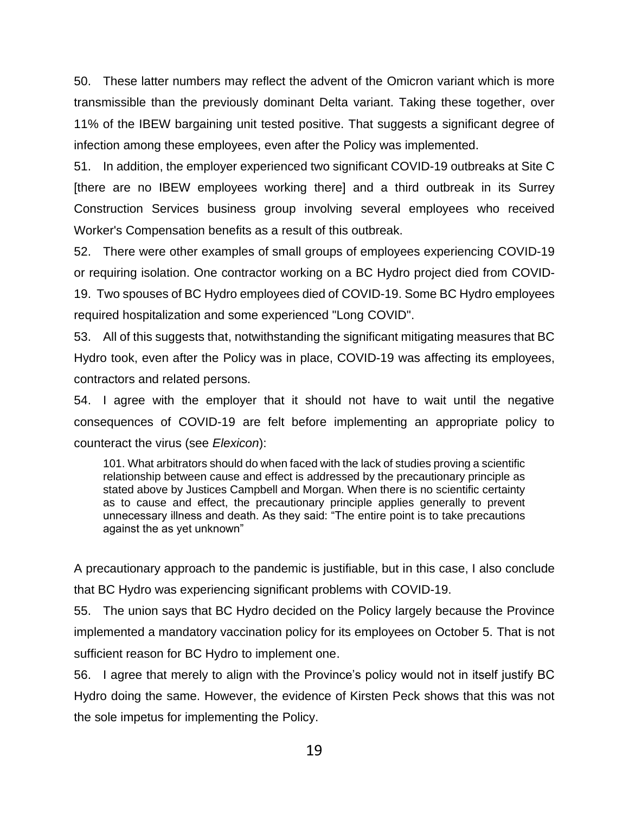50. These latter numbers may reflect the advent of the Omicron variant which is more transmissible than the previously dominant Delta variant. Taking these together, over 11% of the IBEW bargaining unit tested positive. That suggests a significant degree of infection among these employees, even after the Policy was implemented.

51. In addition, the employer experienced two significant COVID-19 outbreaks at Site C [there are no IBEW employees working there] and a third outbreak in its Surrey Construction Services business group involving several employees who received Worker's Compensation benefits as a result of this outbreak.

52. There were other examples of small groups of employees experiencing COVID-19 or requiring isolation. One contractor working on a BC Hydro project died from COVID-19. Two spouses of BC Hydro employees died of COVID-19. Some BC Hydro employees required hospitalization and some experienced "Long COVID".

53. All of this suggests that, notwithstanding the significant mitigating measures that BC Hydro took, even after the Policy was in place, COVID-19 was affecting its employees, contractors and related persons.

54. I agree with the employer that it should not have to wait until the negative consequences of COVID-19 are felt before implementing an appropriate policy to counteract the virus (see *Elexicon*):

101. What arbitrators should do when faced with the lack of studies proving a scientific relationship between cause and effect is addressed by the precautionary principle as stated above by Justices Campbell and Morgan. When there is no scientific certainty as to cause and effect, the precautionary principle applies generally to prevent unnecessary illness and death. As they said: "The entire point is to take precautions against the as yet unknown"

A precautionary approach to the pandemic is justifiable, but in this case, I also conclude that BC Hydro was experiencing significant problems with COVID-19.

55. The union says that BC Hydro decided on the Policy largely because the Province implemented a mandatory vaccination policy for its employees on October 5. That is not sufficient reason for BC Hydro to implement one.

56. I agree that merely to align with the Province's policy would not in itself justify BC Hydro doing the same. However, the evidence of Kirsten Peck shows that this was not the sole impetus for implementing the Policy.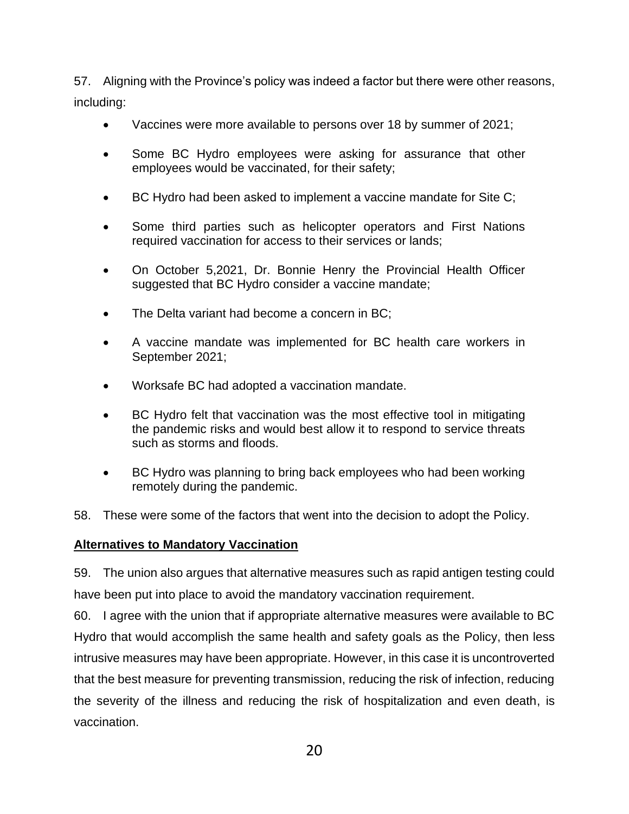57. Aligning with the Province's policy was indeed a factor but there were other reasons, including:

- Vaccines were more available to persons over 18 by summer of 2021;
- Some BC Hydro employees were asking for assurance that other employees would be vaccinated, for their safety;
- BC Hydro had been asked to implement a vaccine mandate for Site C;
- Some third parties such as helicopter operators and First Nations required vaccination for access to their services or lands;
- On October 5,2021, Dr. Bonnie Henry the Provincial Health Officer suggested that BC Hydro consider a vaccine mandate;
- The Delta variant had become a concern in BC;
- A vaccine mandate was implemented for BC health care workers in September 2021;
- Worksafe BC had adopted a vaccination mandate.
- BC Hydro felt that vaccination was the most effective tool in mitigating the pandemic risks and would best allow it to respond to service threats such as storms and floods.
- BC Hydro was planning to bring back employees who had been working remotely during the pandemic.
- 58. These were some of the factors that went into the decision to adopt the Policy.

## **Alternatives to Mandatory Vaccination**

59. The union also argues that alternative measures such as rapid antigen testing could have been put into place to avoid the mandatory vaccination requirement.

60. I agree with the union that if appropriate alternative measures were available to BC Hydro that would accomplish the same health and safety goals as the Policy, then less intrusive measures may have been appropriate. However, in this case it is uncontroverted that the best measure for preventing transmission, reducing the risk of infection, reducing the severity of the illness and reducing the risk of hospitalization and even death, is vaccination.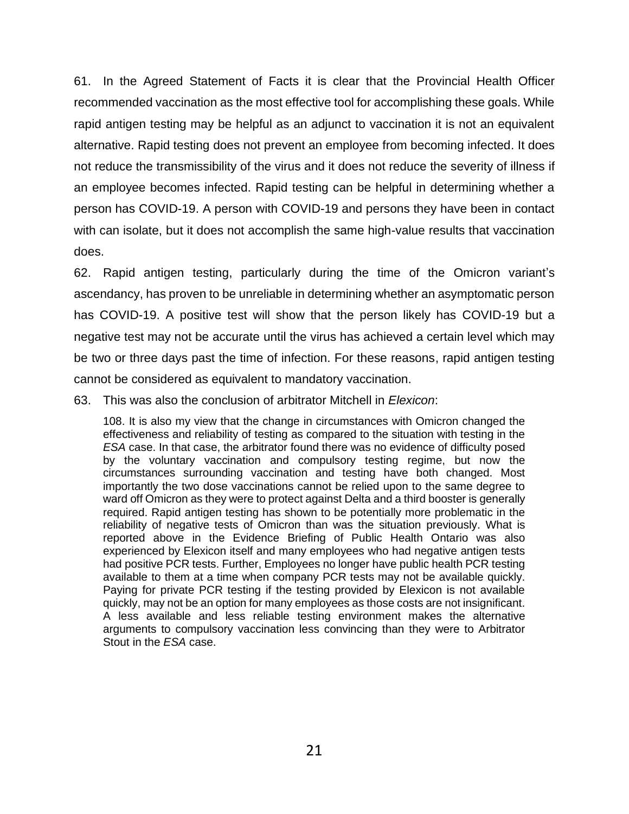61. In the Agreed Statement of Facts it is clear that the Provincial Health Officer recommended vaccination as the most effective tool for accomplishing these goals. While rapid antigen testing may be helpful as an adjunct to vaccination it is not an equivalent alternative. Rapid testing does not prevent an employee from becoming infected. It does not reduce the transmissibility of the virus and it does not reduce the severity of illness if an employee becomes infected. Rapid testing can be helpful in determining whether a person has COVID-19. A person with COVID-19 and persons they have been in contact with can isolate, but it does not accomplish the same high-value results that vaccination does.

62. Rapid antigen testing, particularly during the time of the Omicron variant's ascendancy, has proven to be unreliable in determining whether an asymptomatic person has COVID-19. A positive test will show that the person likely has COVID-19 but a negative test may not be accurate until the virus has achieved a certain level which may be two or three days past the time of infection. For these reasons, rapid antigen testing cannot be considered as equivalent to mandatory vaccination.

63. This was also the conclusion of arbitrator Mitchell in *Elexicon*:

108. It is also my view that the change in circumstances with Omicron changed the effectiveness and reliability of testing as compared to the situation with testing in the *ESA* case. In that case, the arbitrator found there was no evidence of difficulty posed by the voluntary vaccination and compulsory testing regime, but now the circumstances surrounding vaccination and testing have both changed. Most importantly the two dose vaccinations cannot be relied upon to the same degree to ward off Omicron as they were to protect against Delta and a third booster is generally required. Rapid antigen testing has shown to be potentially more problematic in the reliability of negative tests of Omicron than was the situation previously. What is reported above in the Evidence Briefing of Public Health Ontario was also experienced by Elexicon itself and many employees who had negative antigen tests had positive PCR tests. Further, Employees no longer have public health PCR testing available to them at a time when company PCR tests may not be available quickly. Paying for private PCR testing if the testing provided by Elexicon is not available quickly, may not be an option for many employees as those costs are not insignificant. A less available and less reliable testing environment makes the alternative arguments to compulsory vaccination less convincing than they were to Arbitrator Stout in the *ESA* case.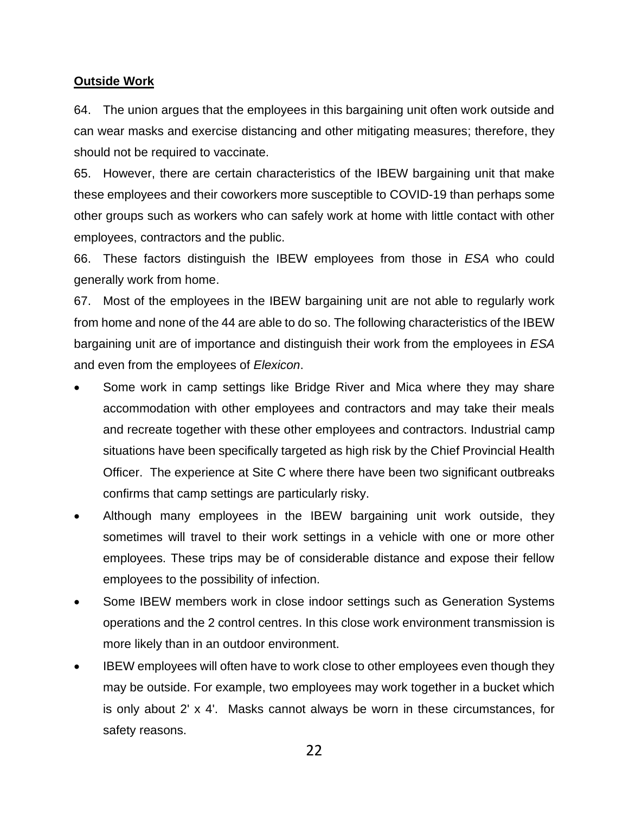## **Outside Work**

64. The union argues that the employees in this bargaining unit often work outside and can wear masks and exercise distancing and other mitigating measures; therefore, they should not be required to vaccinate.

65. However, there are certain characteristics of the IBEW bargaining unit that make these employees and their coworkers more susceptible to COVID-19 than perhaps some other groups such as workers who can safely work at home with little contact with other employees, contractors and the public.

66. These factors distinguish the IBEW employees from those in *ESA* who could generally work from home.

67. Most of the employees in the IBEW bargaining unit are not able to regularly work from home and none of the 44 are able to do so. The following characteristics of the IBEW bargaining unit are of importance and distinguish their work from the employees in *ESA* and even from the employees of *Elexicon*.

- Some work in camp settings like Bridge River and Mica where they may share accommodation with other employees and contractors and may take their meals and recreate together with these other employees and contractors. Industrial camp situations have been specifically targeted as high risk by the Chief Provincial Health Officer. The experience at Site C where there have been two significant outbreaks confirms that camp settings are particularly risky.
- Although many employees in the IBEW bargaining unit work outside, they sometimes will travel to their work settings in a vehicle with one or more other employees. These trips may be of considerable distance and expose their fellow employees to the possibility of infection.
- Some IBEW members work in close indoor settings such as Generation Systems operations and the 2 control centres. In this close work environment transmission is more likely than in an outdoor environment.
- IBEW employees will often have to work close to other employees even though they may be outside. For example, two employees may work together in a bucket which is only about 2' x 4'. Masks cannot always be worn in these circumstances, for safety reasons.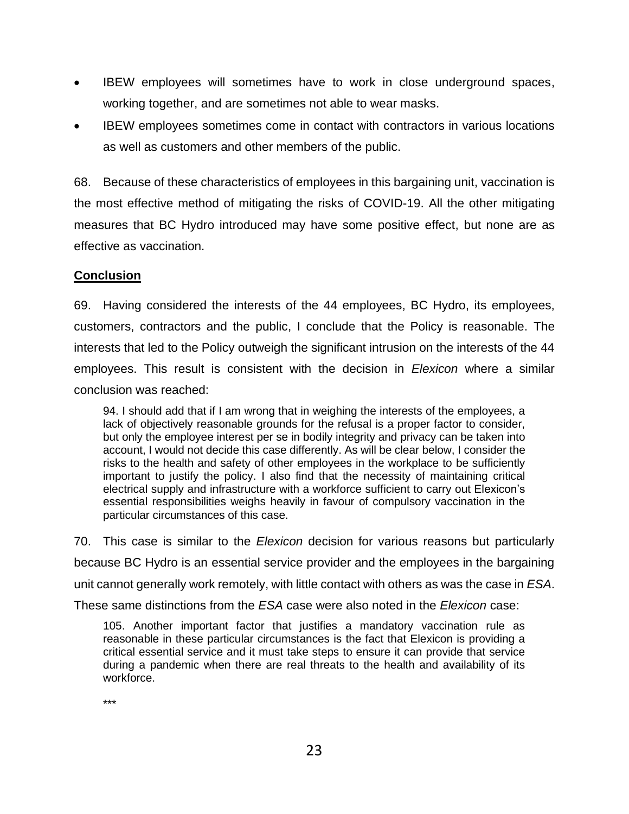- IBEW employees will sometimes have to work in close underground spaces, working together, and are sometimes not able to wear masks.
- IBEW employees sometimes come in contact with contractors in various locations as well as customers and other members of the public.

68. Because of these characteristics of employees in this bargaining unit, vaccination is the most effective method of mitigating the risks of COVID-19. All the other mitigating measures that BC Hydro introduced may have some positive effect, but none are as effective as vaccination.

# **Conclusion**

69. Having considered the interests of the 44 employees, BC Hydro, its employees, customers, contractors and the public, I conclude that the Policy is reasonable. The interests that led to the Policy outweigh the significant intrusion on the interests of the 44 employees. This result is consistent with the decision in *Elexicon* where a similar conclusion was reached:

94. I should add that if I am wrong that in weighing the interests of the employees, a lack of objectively reasonable grounds for the refusal is a proper factor to consider, but only the employee interest per se in bodily integrity and privacy can be taken into account, I would not decide this case differently. As will be clear below, I consider the risks to the health and safety of other employees in the workplace to be sufficiently important to justify the policy. I also find that the necessity of maintaining critical electrical supply and infrastructure with a workforce sufficient to carry out Elexicon's essential responsibilities weighs heavily in favour of compulsory vaccination in the particular circumstances of this case.

70. This case is similar to the *Elexicon* decision for various reasons but particularly because BC Hydro is an essential service provider and the employees in the bargaining unit cannot generally work remotely, with little contact with others as was the case in *ESA*. These same distinctions from the *ESA* case were also noted in the *Elexicon* case:

105. Another important factor that justifies a mandatory vaccination rule as reasonable in these particular circumstances is the fact that Elexicon is providing a critical essential service and it must take steps to ensure it can provide that service during a pandemic when there are real threats to the health and availability of its workforce.

\*\*\*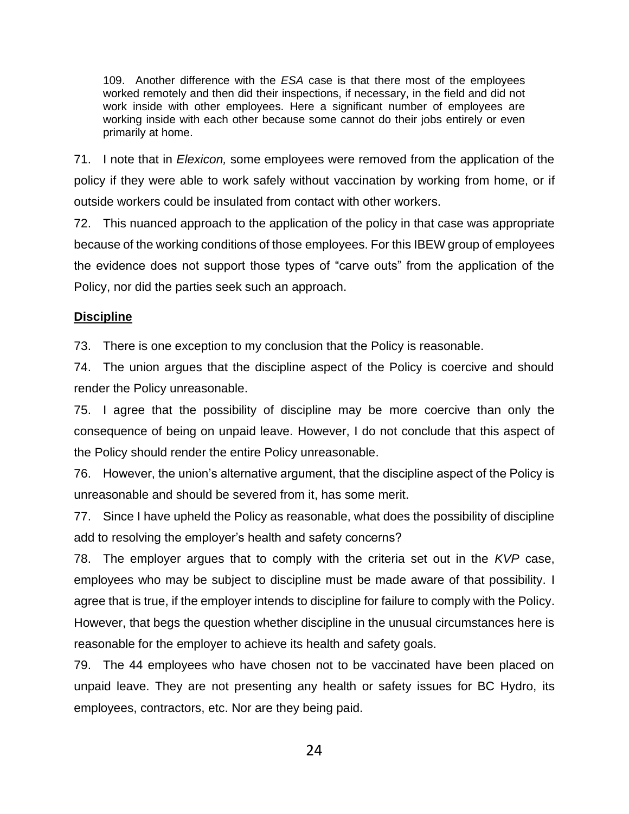109. Another difference with the *ESA* case is that there most of the employees worked remotely and then did their inspections, if necessary, in the field and did not work inside with other employees. Here a significant number of employees are working inside with each other because some cannot do their jobs entirely or even primarily at home.

71. I note that in *Elexicon,* some employees were removed from the application of the policy if they were able to work safely without vaccination by working from home, or if outside workers could be insulated from contact with other workers.

72. This nuanced approach to the application of the policy in that case was appropriate because of the working conditions of those employees. For this IBEW group of employees the evidence does not support those types of "carve outs" from the application of the Policy, nor did the parties seek such an approach.

# **Discipline**

73. There is one exception to my conclusion that the Policy is reasonable.

74. The union argues that the discipline aspect of the Policy is coercive and should render the Policy unreasonable.

75. I agree that the possibility of discipline may be more coercive than only the consequence of being on unpaid leave. However, I do not conclude that this aspect of the Policy should render the entire Policy unreasonable.

76. However, the union's alternative argument, that the discipline aspect of the Policy is unreasonable and should be severed from it, has some merit.

77. Since I have upheld the Policy as reasonable, what does the possibility of discipline add to resolving the employer's health and safety concerns?

78. The employer argues that to comply with the criteria set out in the *KVP* case, employees who may be subject to discipline must be made aware of that possibility. I agree that is true, if the employer intends to discipline for failure to comply with the Policy. However, that begs the question whether discipline in the unusual circumstances here is reasonable for the employer to achieve its health and safety goals.

79. The 44 employees who have chosen not to be vaccinated have been placed on unpaid leave. They are not presenting any health or safety issues for BC Hydro, its employees, contractors, etc. Nor are they being paid.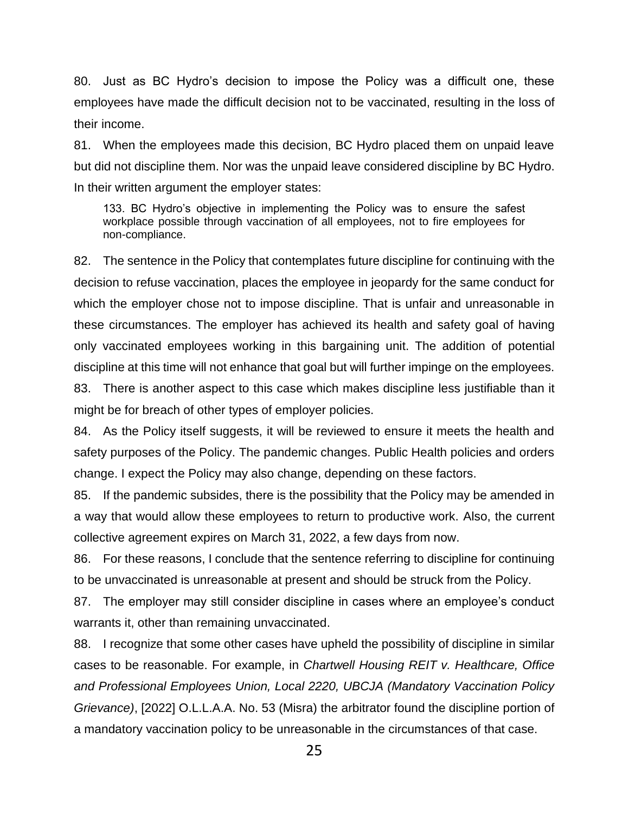80. Just as BC Hydro's decision to impose the Policy was a difficult one, these employees have made the difficult decision not to be vaccinated, resulting in the loss of their income.

81. When the employees made this decision, BC Hydro placed them on unpaid leave but did not discipline them. Nor was the unpaid leave considered discipline by BC Hydro. In their written argument the employer states:

133. BC Hydro's objective in implementing the Policy was to ensure the safest workplace possible through vaccination of all employees, not to fire employees for non-compliance.

82. The sentence in the Policy that contemplates future discipline for continuing with the decision to refuse vaccination, places the employee in jeopardy for the same conduct for which the employer chose not to impose discipline. That is unfair and unreasonable in these circumstances. The employer has achieved its health and safety goal of having only vaccinated employees working in this bargaining unit. The addition of potential discipline at this time will not enhance that goal but will further impinge on the employees.

83. There is another aspect to this case which makes discipline less justifiable than it might be for breach of other types of employer policies.

84. As the Policy itself suggests, it will be reviewed to ensure it meets the health and safety purposes of the Policy. The pandemic changes. Public Health policies and orders change. I expect the Policy may also change, depending on these factors.

85. If the pandemic subsides, there is the possibility that the Policy may be amended in a way that would allow these employees to return to productive work. Also, the current collective agreement expires on March 31, 2022, a few days from now.

86. For these reasons, I conclude that the sentence referring to discipline for continuing to be unvaccinated is unreasonable at present and should be struck from the Policy.

87. The employer may still consider discipline in cases where an employee's conduct warrants it, other than remaining unvaccinated.

88. I recognize that some other cases have upheld the possibility of discipline in similar cases to be reasonable. For example, in *Chartwell Housing REIT v. Healthcare, Office and Professional Employees Union, Local 2220, UBCJA (Mandatory Vaccination Policy Grievance)*, [2022] O.L.L.A.A. No. 53 (Misra) the arbitrator found the discipline portion of a mandatory vaccination policy to be unreasonable in the circumstances of that case.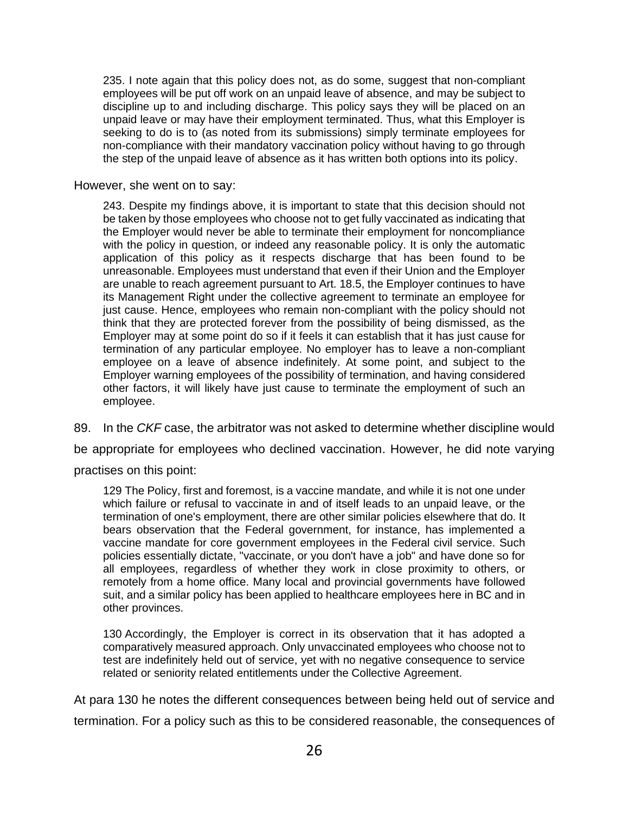235. I note again that this policy does not, as do some, suggest that non-compliant employees will be put off work on an unpaid leave of absence, and may be subject to discipline up to and including discharge. This policy says they will be placed on an unpaid leave or may have their employment terminated. Thus, what this Employer is seeking to do is to (as noted from its submissions) simply terminate employees for non-compliance with their mandatory vaccination policy without having to go through the step of the unpaid leave of absence as it has written both options into its policy.

However, she went on to say:

243. Despite my findings above, it is important to state that this decision should not be taken by those employees who choose not to get fully vaccinated as indicating that the Employer would never be able to terminate their employment for noncompliance with the policy in question, or indeed any reasonable policy. It is only the automatic application of this policy as it respects discharge that has been found to be unreasonable. Employees must understand that even if their Union and the Employer are unable to reach agreement pursuant to Art. 18.5, the Employer continues to have its Management Right under the collective agreement to terminate an employee for just cause. Hence, employees who remain non-compliant with the policy should not think that they are protected forever from the possibility of being dismissed, as the Employer may at some point do so if it feels it can establish that it has just cause for termination of any particular employee. No employer has to leave a non-compliant employee on a leave of absence indefinitely. At some point, and subject to the Employer warning employees of the possibility of termination, and having considered other factors, it will likely have just cause to terminate the employment of such an employee.

89. In the *CKF* case, the arbitrator was not asked to determine whether discipline would

be appropriate for employees who declined vaccination. However, he did note varying

practises on this point:

129 The Policy, first and foremost, is a vaccine mandate, and while it is not one under which failure or refusal to vaccinate in and of itself leads to an unpaid leave, or the termination of one's employment, there are other similar policies elsewhere that do. It bears observation that the Federal government, for instance, has implemented a vaccine mandate for core government employees in the Federal civil service. Such policies essentially dictate, "vaccinate, or you don't have a job" and have done so for all employees, regardless of whether they work in close proximity to others, or remotely from a home office. Many local and provincial governments have followed suit, and a similar policy has been applied to healthcare employees here in BC and in other provinces.

130 Accordingly, the Employer is correct in its observation that it has adopted a comparatively measured approach. Only unvaccinated employees who choose not to test are indefinitely held out of service, yet with no negative consequence to service related or seniority related entitlements under the Collective Agreement.

At para 130 he notes the different consequences between being held out of service and

termination. For a policy such as this to be considered reasonable, the consequences of